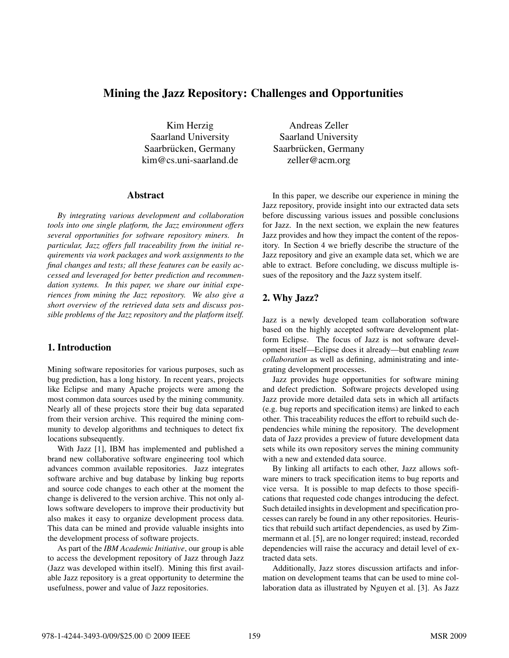# Mining the Jazz Repository: Challenges and Opportunities

Kim Herzig Saarland University Saarbrücken, Germany kim@cs.uni-saarland.de

#### Abstract

*By integrating various development and collaboration tools into one single platform, the Jazz environment offers several opportunities for software repository miners. In particular, Jazz offers full traceability from the initial requirements via work packages and work assignments to the final changes and tests; all these features can be easily accessed and leveraged for better prediction and recommendation systems. In this paper, we share our initial experiences from mining the Jazz repository. We also give a short overview of the retrieved data sets and discuss possible problems of the Jazz repository and the platform itself.*

# 1. Introduction

Mining software repositories for various purposes, such as bug prediction, has a long history. In recent years, projects like Eclipse and many Apache projects were among the most common data sources used by the mining community. Nearly all of these projects store their bug data separated from their version archive. This required the mining community to develop algorithms and techniques to detect fix locations subsequently.

With Jazz [1], IBM has implemented and published a brand new collaborative software engineering tool which advances common available repositories. Jazz integrates software archive and bug database by linking bug reports and source code changes to each other at the moment the change is delivered to the version archive. This not only allows software developers to improve their productivity but also makes it easy to organize development process data. This data can be mined and provide valuable insights into the development process of software projects.

As part of the *IBM Academic Initiative*, our group is able to access the development repository of Jazz through Jazz (Jazz was developed within itself). Mining this first available Jazz repository is a great opportunity to determine the usefulness, power and value of Jazz repositories.

Andreas Zeller Saarland University Saarbrücken, Germany zeller@acm.org

In this paper, we describe our experience in mining the Jazz repository, provide insight into our extracted data sets before discussing various issues and possible conclusions for Jazz. In the next section, we explain the new features Jazz provides and how they impact the content of the repository. In Section 4 we briefly describe the structure of the Jazz repository and give an example data set, which we are able to extract. Before concluding, we discuss multiple issues of the repository and the Jazz system itself.

# 2. Why Jazz?

Jazz is a newly developed team collaboration software based on the highly accepted software development platform Eclipse. The focus of Jazz is not software development itself—Eclipse does it already—but enabling *team collaboration* as well as defining, administrating and integrating development processes.

Jazz provides huge opportunities for software mining and defect prediction. Software projects developed using Jazz provide more detailed data sets in which all artifacts (e.g. bug reports and specification items) are linked to each other. This traceability reduces the effort to rebuild such dependencies while mining the repository. The development data of Jazz provides a preview of future development data sets while its own repository serves the mining community with a new and extended data source.

By linking all artifacts to each other, Jazz allows software miners to track specification items to bug reports and vice versa. It is possible to map defects to those specifications that requested code changes introducing the defect. Such detailed insights in development and specification processes can rarely be found in any other repositories. Heuristics that rebuild such artifact dependencies, as used by Zimmermann et al. [5], are no longer required; instead, recorded dependencies will raise the accuracy and detail level of extracted data sets.

Additionally, Jazz stores discussion artifacts and information on development teams that can be used to mine collaboration data as illustrated by Nguyen et al. [3]. As Jazz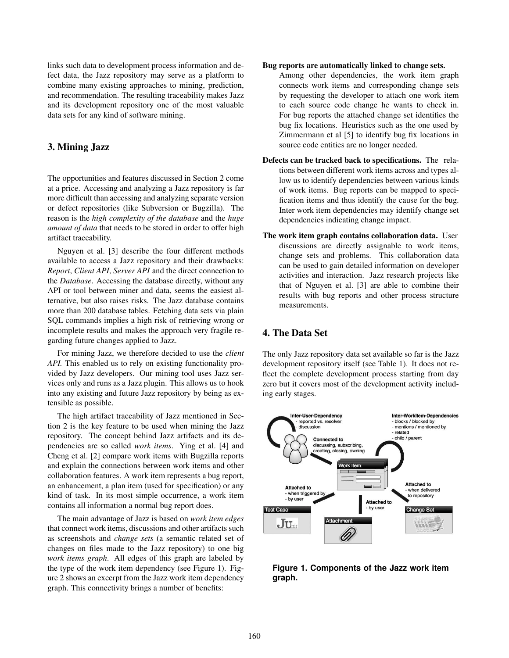links such data to development process information and defect data, the Jazz repository may serve as a platform to combine many existing approaches to mining, prediction, and recommendation. The resulting traceability makes Jazz and its development repository one of the most valuable data sets for any kind of software mining.

### 3. Mining Jazz

The opportunities and features discussed in Section 2 come at a price. Accessing and analyzing a Jazz repository is far more difficult than accessing and analyzing separate version or defect repositories (like Subversion or Bugzilla). The reason is the *high complexity of the database* and the *huge amount of data* that needs to be stored in order to offer high artifact traceability.

Nguyen et al. [3] describe the four different methods available to access a Jazz repository and their drawbacks: *Report*, *Client API*, *Server API* and the direct connection to the *Database*. Accessing the database directly, without any API or tool between miner and data, seems the easiest alternative, but also raises risks. The Jazz database contains more than 200 database tables. Fetching data sets via plain SQL commands implies a high risk of retrieving wrong or incomplete results and makes the approach very fragile regarding future changes applied to Jazz.

For mining Jazz, we therefore decided to use the *client API.* This enabled us to rely on existing functionality provided by Jazz developers. Our mining tool uses Jazz services only and runs as a Jazz plugin. This allows us to hook into any existing and future Jazz repository by being as extensible as possible.

The high artifact traceability of Jazz mentioned in Section 2 is the key feature to be used when mining the Jazz repository. The concept behind Jazz artifacts and its dependencies are so called *work items*. Ying et al. [4] and Cheng et al. [2] compare work items with Bugzilla reports and explain the connections between work items and other collaboration features. A work item represents a bug report, an enhancement, a plan item (used for specification) or any kind of task. In its most simple occurrence, a work item contains all information a normal bug report does.

The main advantage of Jazz is based on *work item edges* that connect work items, discussions and other artifacts such as screenshots and *change sets* (a semantic related set of changes on files made to the Jazz repository) to one big *work items graph*. All edges of this graph are labeled by the type of the work item dependency (see Figure 1). Figure 2 shows an excerpt from the Jazz work item dependency graph. This connectivity brings a number of benefits:

#### Bug reports are automatically linked to change sets.

Among other dependencies, the work item graph connects work items and corresponding change sets by requesting the developer to attach one work item to each source code change he wants to check in. For bug reports the attached change set identifies the bug fix locations. Heuristics such as the one used by Zimmermann et al [5] to identify bug fix locations in source code entities are no longer needed.

- Defects can be tracked back to specifications. The relations between different work items across and types allow us to identify dependencies between various kinds of work items. Bug reports can be mapped to specification items and thus identify the cause for the bug. Inter work item dependencies may identify change set dependencies indicating change impact.
- The work item graph contains collaboration data. User discussions are directly assignable to work items, change sets and problems. This collaboration data can be used to gain detailed information on developer activities and interaction. Jazz research projects like that of Nguyen et al. [3] are able to combine their results with bug reports and other process structure measurements.

### 4. The Data Set

The only Jazz repository data set available so far is the Jazz development repository itself (see Table 1). It does not reflect the complete development process starting from day zero but it covers most of the development activity including early stages.



**Figure 1. Components of the Jazz work item graph.**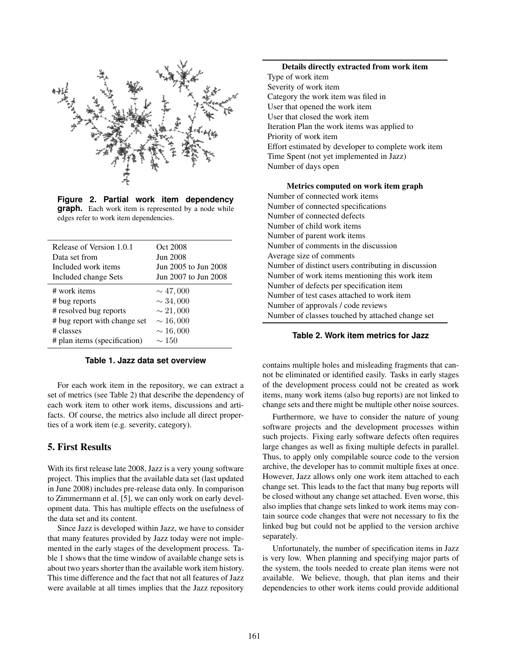

**Figure 2. Partial work item dependency graph.** Each work item is represented by a node while edges refer to work item dependencies.

| Release of Version 1.0.1     | Oct 2008             |
|------------------------------|----------------------|
| Data set from                | Jun 2008             |
| Included work items          | Jun 2005 to Jun 2008 |
| Included change Sets         | Jun 2007 to Jun 2008 |
| # work items                 | $\sim 47,000$        |
| # bug reports                | $\sim 34,000$        |
| # resolved bug reports       | $\sim 21,000$        |
| # bug report with change set | $\sim 16,000$        |
| # classes                    | $\sim$ 16,000        |
| # plan items (specification) | $\sim$ 150           |

#### **Table 1. Jazz data set overview**

For each work item in the repository, we can extract a set of metrics (see Table 2) that describe the dependency of each work item to other work items, discussions and artifacts. Of course, the metrics also include all direct properties of a work item (e.g. severity, category).

### 5. First Results

With its first release late 2008, Jazz is a very young software project. This implies that the available data set (last updated in June 2008) includes pre-release data only. In comparison to Zimmermann et al. [5], we can only work on early development data. This has multiple effects on the usefulness of the data set and its content.

Since Jazz is developed within Jazz, we have to consider that many features provided by Jazz today were not implemented in the early stages of the development process. Table 1 shows that the time window of available change sets is about two years shorter than the available work item history. This time difference and the fact that not all features of Jazz were available at all times implies that the Jazz repository

Details directly extracted from work item Type of work item Severity of work item Category the work item was filed in User that opened the work item User that closed the work item Iteration Plan the work items was applied to Priority of work item Effort estimated by developer to complete work item Time Spent (not yet implemented in Jazz) Number of days open

Metrics computed on work item graph Number of connected work items Number of connected specifications Number of connected defects Number of child work items Number of parent work items Number of comments in the discussion Average size of comments Number of distinct users contributing in discussion Number of work items mentioning this work item Number of defects per specification item Number of test cases attached to work item Number of approvals / code reviews Number of classes touched by attached change set

#### **Table 2. Work item metrics for Jazz**

contains multiple holes and misleading fragments that cannot be eliminated or identified easily. Tasks in early stages of the development process could not be created as work items, many work items (also bug reports) are not linked to change sets and there might be multiple other noise sources.

Furthermore, we have to consider the nature of young software projects and the development processes within such projects. Fixing early software defects often requires large changes as well as fixing multiple defects in parallel. Thus, to apply only compilable source code to the version archive, the developer has to commit multiple fixes at once. However, Jazz allows only one work item attached to each change set. This leads to the fact that many bug reports will be closed without any change set attached. Even worse, this also implies that change sets linked to work items may contain source code changes that were not necessary to fix the linked bug but could not be applied to the version archive separately.

Unfortunately, the number of specification items in Jazz is very low. When planning and specifying major parts of the system, the tools needed to create plan items were not available. We believe, though, that plan items and their dependencies to other work items could provide additional